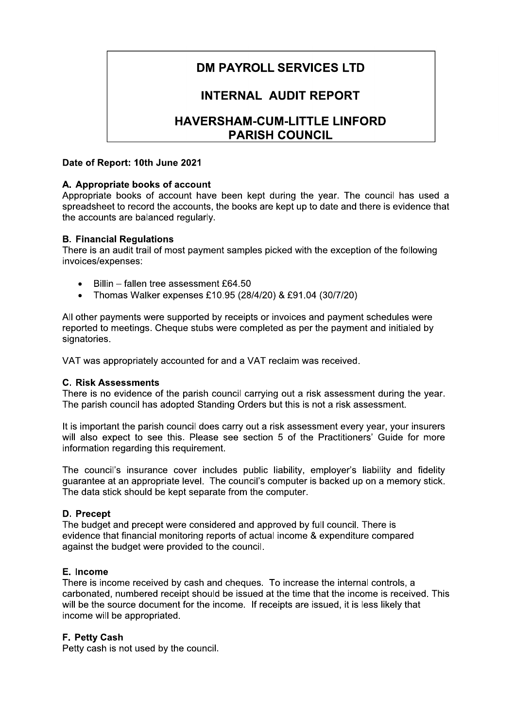# **DM PAYROLL SERVICES LTD**

## **INTERNAL AUDIT REPORT**

## **HAVERSHAM-CUM-LITTLE LINFORD PARISH COUNCIL**

## Date of Report: 10th June 2021

## A. Appropriate books of account

Appropriate books of account have been kept during the year. The council has used a spreadsheet to record the accounts, the books are kept up to date and there is evidence that the accounts are balanced regularly.

## **B. Financial Regulations**

There is an audit trail of most payment samples picked with the exception of the following invoices/expenses:

- Billin fallen tree assessment £64.50  $\bullet$
- $\bullet$ Thomas Walker expenses £10.95 (28/4/20) & £91.04 (30/7/20)

All other payments were supported by receipts or invoices and payment schedules were reported to meetings. Cheque stubs were completed as per the payment and initialed by signatories.

VAT was appropriately accounted for and a VAT reclaim was received.

#### **C. Risk Assessments**

There is no evidence of the parish council carrying out a risk assessment during the year. The parish council has adopted Standing Orders but this is not a risk assessment.

It is important the parish council does carry out a risk assessment every year, your insurers will also expect to see this. Please see section 5 of the Practitioners' Guide for more information regarding this requirement.

The council's insurance cover includes public liability, employer's liability and fidelity quarantee at an appropriate level. The council's computer is backed up on a memory stick. The data stick should be kept separate from the computer.

## D. Precept

The budget and precept were considered and approved by full council. There is evidence that financial monitoring reports of actual income & expenditure compared against the budget were provided to the council.

## E. Income

There is income received by cash and cheques. To increase the internal controls, a carbonated, numbered receipt should be issued at the time that the income is received. This will be the source document for the income. If receipts are issued, it is less likely that income will be appropriated.

## F. Petty Cash

Petty cash is not used by the council.